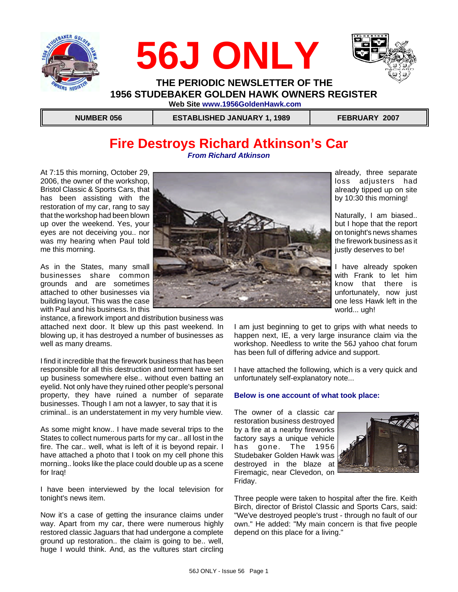





 **THE PERIODIC NEWSLETTER OF THE 1956 STUDEBAKER GOLDEN HAWK OWNERS REGISTER Web Site www.1956GoldenHawk.com**

 **NUMBER 056 ESTABLISHED JANUARY 1, 1989 FEBRUARY 2007**

## **Fire Destroys Richard Atkinson's Car** *From Richard Atkinson*

At 7:15 this morning, October 29, 2006, the owner of the workshop, Bristol Classic & Sports Cars, that has been assisting with the restoration of my car, rang to say that the workshop had been blown up over the weekend. Yes, your eyes are not deceiving you.. nor was my hearing when Paul told me this morning.

As in the States, many small businesses share common grounds and are sometimes attached to other businesses via building layout. This was the case with Paul and his business. In this

instance, a firework import and distribution business was attached next door. It blew up this past weekend. In blowing up, it has destroyed a number of businesses as well as many dreams.

I find it incredible that the firework business that has been responsible for all this destruction and torment have set up business somewhere else.. without even batting an eyelid. Not only have they ruined other people's personal property, they have ruined a number of separate businesses. Though I am not a lawyer, to say that it is criminal.. is an understatement in my very humble view.

As some might know.. I have made several trips to the States to collect numerous parts for my car.. all lost in the fire. The car.. well, what is left of it is beyond repair. I have attached a photo that I took on my cell phone this morning.. looks like the place could double up as a scene for Iraq!

I have been interviewed by the local television for tonight's news item.

Now it's a case of getting the insurance claims under way. Apart from my car, there were numerous highly restored classic Jaguars that had undergone a complete ground up restoration.. the claim is going to be.. well, huge I would think. And, as the vultures start circling



already, three separate loss adjusters had already tipped up on site by 10:30 this morning!

Naturally, I am biased.. but I hope that the report on tonight's news shames the firework business as it justly deserves to be!

I have already spoken with Frank to let him know that there is unfortunately, now just one less Hawk left in the world... ugh!

I am just beginning to get to grips with what needs to happen next, IE, a very large insurance claim via the workshop. Needless to write the 56J yahoo chat forum has been full of differing advice and support.

I have attached the following, which is a very quick and unfortunately self-explanatory note...

### **Below is one account of what took place:**

The owner of a classic car restoration business destroyed by a fire at a nearby fireworks factory says a unique vehicle has gone. The 1956 Studebaker Golden Hawk was destroyed in the blaze at Firemagic, near Clevedon, on Friday.



Three people were taken to hospital after the fire. Keith Birch, director of Bristol Classic and Sports Cars, said: "We've destroyed people's trust - through no fault of our own." He added: "My main concern is that five people depend on this place for a living."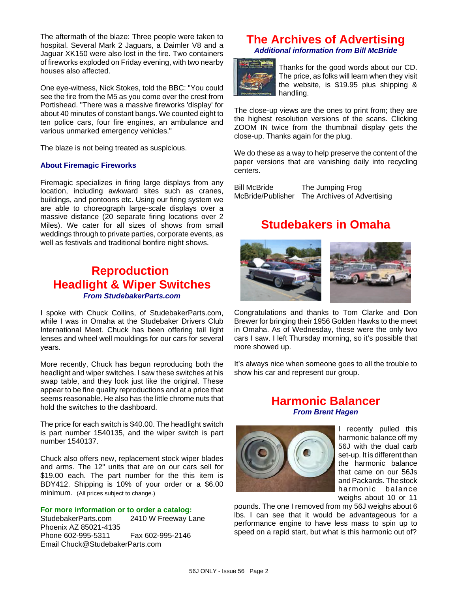The aftermath of the blaze: Three people were taken to hospital. Several Mark 2 Jaguars, a Daimler V8 and a Jaguar XK150 were also lost in the fire. Two containers of fireworks exploded on Friday evening, with two nearby houses also affected.

One eye-witness, Nick Stokes, told the BBC: "You could see the fire from the M5 as you come over the crest from Portishead. "There was a massive fireworks 'display' for about 40 minutes of constant bangs. We counted eight to ten police cars, four fire engines, an ambulance and various unmarked emergency vehicles."

The blaze is not being treated as suspicious.

### **About Firemagic Fireworks**

Firemagic specializes in firing large displays from any location, including awkward sites such as cranes, buildings, and pontoons etc. Using our firing system we are able to choreograph large-scale displays over a massive distance (20 separate firing locations over 2 Miles). We cater for all sizes of shows from small weddings through to private parties, corporate events, as well as festivals and traditional bonfire night shows.

## **Reproduction Headlight & Wiper Switches** *From StudebakerParts.com*

I spoke with Chuck Collins, of StudebakerParts.com, while I was in Omaha at the Studebaker Drivers Club International Meet. Chuck has been offering tail light lenses and wheel well mouldings for our cars for several years.

More recently, Chuck has begun reproducing both the headlight and wiper switches. I saw these switches at his swap table, and they look just like the original. These appear to be fine quality reproductions and at a price that seems reasonable. He also has the little chrome nuts that hold the switches to the dashboard.

The price for each switch is \$40.00. The headlight switch is part number 1540135, and the wiper switch is part number 1540137.

Chuck also offers new, replacement stock wiper blades and arms. The 12" units that are on our cars sell for \$19.00 each. The part number for the this item is BDY412. Shipping is 10% of your order or a \$6.00 minimum. (All prices subject to change.)

### **For more information or to order a catalog:**

StudebakerParts.com 2410 W Freeway Lane Phoenix AZ 85021-4135 Phone 602-995-5311 Fax 602-995-2146 Email Chuck@StudebakerParts.com

## **The Archives of Advertising** *Additional information from Bill McBride*



Thanks for the good words about our CD. The price, as folks will learn when they visit the website, is \$19.95 plus shipping & handling.

The close-up views are the ones to print from; they are the highest resolution versions of the scans. Clicking ZOOM IN twice from the thumbnail display gets the close-up. Thanks again for the plug.

We do these as a way to help preserve the content of the paper versions that are vanishing daily into recycling centers.

Bill McBride The Jumping Frog McBride/Publisher The Archives of Advertising

## **Studebakers in Omaha**



Congratulations and thanks to Tom Clarke and Don Brewer for bringing their 1956 Golden Hawks to the meet in Omaha. As of Wednesday, these were the only two cars I saw. I left Thursday morning, so it's possible that more showed up.

It's always nice when someone goes to all the trouble to show his car and represent our group.

## **Harmonic Balancer** *From Brent Hagen*



I recently pulled this harmonic balance off my 56J with the dual carb set-up. It is different than the harmonic balance that came on our 56Js and Packards. The stock harmonic balance weighs about 10 or 11

pounds. The one I removed from my 56J weighs about 6 lbs. I can see that it would be advantageous for a performance engine to have less mass to spin up to speed on a rapid start, but what is this harmonic out of?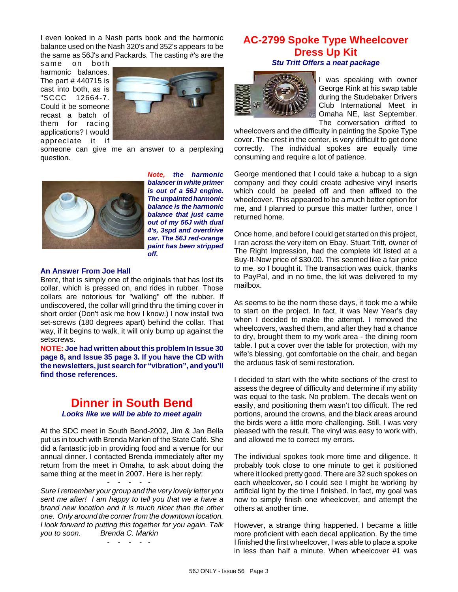I even looked in a Nash parts book and the harmonic balance used on the Nash 320's and 352's appears to be the same as 56J's and Packards. The casting #'s are the

same on both harmonic balances. The part # 440715 is cast into both, as is "SCCC 12664-7. Could it be someone recast a batch of them for racing applications? I would appreciate it if



someone can give me an answer to a perplexing question.



*Note, the harmonic balancer in white primer is out of a 56J engine. The unpainted harmonic balance is the harmonic balance that just came out of my 56J with dual 4's, 3spd and overdrive car. The 56J red-orange paint has been stripped off.*

### **An Answer From Joe Hall**

Brent, that is simply one of the originals that has lost its collar, which is pressed on, and rides in rubber. Those collars are notorious for "walking" off the rubber. If undiscovered, the collar will grind thru the timing cover in short order (Don't ask me how I know.) I now install two set-screws (180 degrees apart) behind the collar. That way, if it begins to walk, it will only bump up against the setscrews.

**NOTE: Joe had written about this problem In Issue 30 page 8, and Issue 35 page 3. If you have the CD with the newsletters, just search for "vibration", and you'll find those references.**

## **Dinner in South Bend** *Looks like we will be able to meet again*

At the SDC meet in South Bend-2002, Jim & Jan Bella put us in touch with Brenda Markin of the State Café. She did a fantastic job in providing food and a venue for our annual dinner. I contacted Brenda immediately after my return from the meet in Omaha, to ask about doing the same thing at the meet in 2007. Here is her reply:

- - - - - *Sure I remember your group and the very lovely letter you sent me after! I am happy to tell you that we a have a brand new location and it is much nicer than the other one. Only around the corner from the downtown location. I look forward to putting this together for you again. Talk you to soon. Brenda C. Markin*

- - - - -

## **AC-2799 Spoke Type Wheelcover Dress Up Kit** *Stu Tritt Offers a neat package*



I was speaking with owner George Rink at his swap table during the Studebaker Drivers Club International Meet in Omaha NE, last September. The conversation drifted to

wheelcovers and the difficulty in painting the Spoke Type cover. The crest in the center, is very difficult to get done correctly. The individual spokes are equally time consuming and require a lot of patience.

George mentioned that I could take a hubcap to a sign company and they could create adhesive vinyl inserts which could be peeled off and then affixed to the wheelcover. This appeared to be a much better option for me, and I planned to pursue this matter further, once I returned home.

Once home, and before I could get started on this project, I ran across the very item on Ebay. Stuart Tritt, owner of The Right Impression, had the complete kit listed at a Buy-It-Now price of \$30.00. This seemed like a fair price to me, so I bought it. The transaction was quick, thanks to PayPal, and in no time, the kit was delivered to my mailbox.

As seems to be the norm these days, it took me a while to start on the project. In fact, it was New Year's day when I decided to make the attempt. I removed the wheelcovers, washed them, and after they had a chance to dry, brought them to my work area - the dining room table. I put a cover over the table for protection, with my wife's blessing, got comfortable on the chair, and began the arduous task of semi restoration.

I decided to start with the white sections of the crest to assess the degree of difficulty and determine if my ability was equal to the task. No problem. The decals went on easily, and positioning them wasn't too difficult. The red portions, around the crowns, and the black areas around the birds were a little more challenging. Still, I was very pleased with the result. The vinyl was easy to work with, and allowed me to correct my errors.

The individual spokes took more time and diligence. It probably took close to one minute to get it positioned where it looked pretty good. There are 32 such spokes on each wheelcover, so I could see I might be working by artificial light by the time I finished. In fact, my goal was now to simply finish one wheelcover, and attempt the others at another time.

However, a strange thing happened. I became a little more proficient with each decal application. By the time I finished the first wheelcover, I was able to place a spoke in less than half a minute. When wheelcover #1 was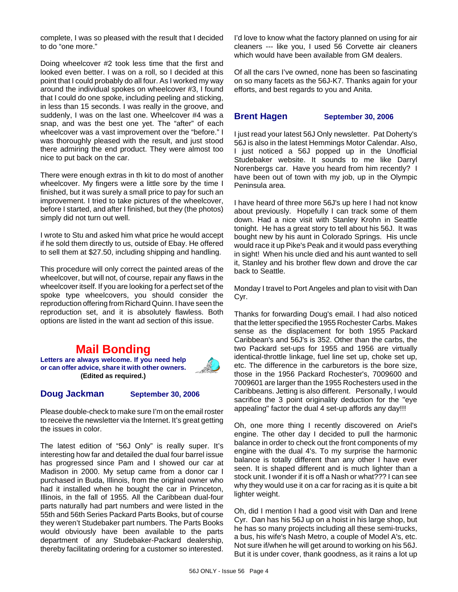complete, I was so pleased with the result that I decided to do "one more."

Doing wheelcover #2 took less time that the first and looked even better. I was on a roll, so I decided at this point that I could probably do all four. As I worked my way around the individual spokes on wheelcover #3, I found that I could do one spoke, including peeling and sticking, in less than 15 seconds. I was really in the groove, and suddenly, I was on the last one. Wheelcover #4 was a snap, and was the best one yet. The "after" of each wheelcover was a vast improvement over the "before." I was thoroughly pleased with the result, and just stood there admiring the end product. They were almost too nice to put back on the car.

There were enough extras in th kit to do most of another wheelcover. My fingers were a little sore by the time I finished, but it was surely a small price to pay for such an improvement. I tried to take pictures of the wheelcover, before I started, and after I finished, but they (the photos) simply did not turn out well.

I wrote to Stu and asked him what price he would accept if he sold them directly to us, outside of Ebay. He offered to sell them at \$27.50, including shipping and handling.

This procedure will only correct the painted areas of the wheelcover, but will not, of course, repair any flaws in the wheelcover itself. If you are looking for a perfect set of the spoke type wheelcovers, you should consider the reproduction offering from Richard Quinn. I have seen the reproduction set, and it is absolutely flawless. Both options are listed in the want ad section of this issue.

## **Mail Bonding**

**Letters are always welcome. If you need help or can offer advice, share it with other owners. (Edited as required.)**

### **Doug Jackman September 30, 2006**

Please double-check to make sure I'm on the email roster to receive the newsletter via the Internet. It's great getting the issues in color.

The latest edition of "56J Only" is really super. It's interesting how far and detailed the dual four barrel issue has progressed since Pam and I showed our car at Madison in 2000. My setup came from a donor car I purchased in Buda, Illinois, from the original owner who had it installed when he bought the car in Princeton, Illinois, in the fall of 1955. All the Caribbean dual-four parts naturally had part numbers and were listed in the 55th and 56th Series Packard Parts Books, but of course they weren't Studebaker part numbers. The Parts Books would obviously have been available to the parts department of any Studebaker-Packard dealership, thereby facilitating ordering for a customer so interested. I'd love to know what the factory planned on using for air cleaners --- like you, I used 56 Corvette air cleaners which would have been available from GM dealers.

Of all the cars I've owned, none has been so fascinating on so many facets as the 56J-K7. Thanks again for your efforts, and best regards to you and Anita.

**Brent Hagen September 30, 2006**

I just read your latest 56J Only newsletter. Pat Doherty's 56J is also in the latest Hemmings Motor Calendar. Also, I just noticed a 56J popped up in the Unofficial Studebaker website. It sounds to me like Darryl Norenbergs car. Have you heard from him recently? I have been out of town with my job, up in the Olympic Peninsula area.

I have heard of three more 56J's up here I had not know about previously. Hopefully I can track some of them down. Had a nice visit with Stanley Krohn in Seattle tonight. He has a great story to tell about his 56J. It was bought new by his aunt in Colorado Springs. His uncle would race it up Pike's Peak and it would pass everything in sight! When his uncle died and his aunt wanted to sell it, Stanley and his brother flew down and drove the car back to Seattle.

Monday I travel to Port Angeles and plan to visit with Dan Cyr.

Thanks for forwarding Doug's email. I had also noticed that the letter specified the 1955 Rochester Carbs. Makes sense as the displacement for both 1955 Packard Caribbean's and 56J's is 352. Other than the carbs, the two Packard set-ups for 1955 and 1956 are virtually identical-throttle linkage, fuel line set up, choke set up, etc. The difference in the carburetors is the bore size, those in the 1956 Packard Rochester's, 7009600 and 7009601 are larger than the 1955 Rochesters used in the Caribbeans. Jetting is also different. Personally, I would sacrifice the 3 point originality deduction for the "eye appealing" factor the dual 4 set-up affords any day!!!

Oh, one more thing I recently discovered on Ariel's engine. The other day I decided to pull the harmonic balance in order to check out the front components of my engine with the dual 4's. To my surprise the harmonic balance is totally different than any other I have ever seen. It is shaped different and is much lighter than a stock unit. I wonder if it is off a Nash or what??? I can see why they would use it on a car for racing as it is quite a bit lighter weight.

Oh, did I mention I had a good visit with Dan and Irene Cyr. Dan has his 56J up on a hoist in his large shop, but he has so many projects including all these semi-trucks, a bus, his wife's Nash Metro, a couple of Model A's, etc. Not sure if/when he will get around to working on his 56J. But it is under cover, thank goodness, as it rains a lot up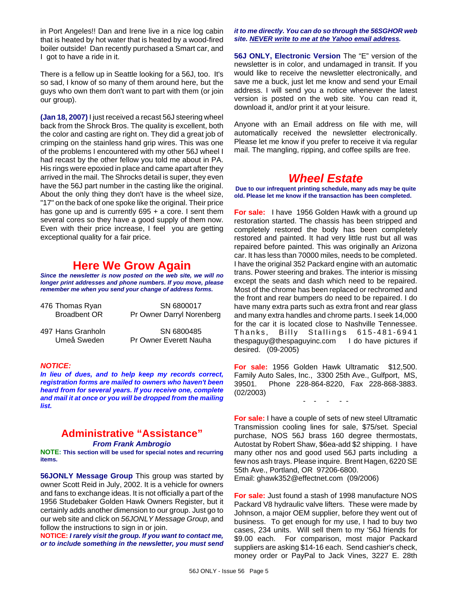in Port Angeles!! Dan and Irene live in a nice log cabin that is heated by hot water that is heated by a wood-fired boiler outside! Dan recently purchased a Smart car, and I got to have a ride in it.

There is a fellow up in Seattle looking for a 56J, too. It's so sad, I know of so many of them around here, but the guys who own them don't want to part with them (or join our group).

**(Jan 18, 2007)** I just received a recast 56J steering wheel back from the Shrock Bros. The quality is excellent, both the color and casting are right on. They did a great job of crimping on the stainless hand grip wires. This was one of the problems I encountered with my other 56J wheel I had recast by the other fellow you told me about in PA. His rings were epoxied in place and came apart after they arrived in the mail. The Shrocks detail is super, they even have the 56J part number in the casting like the original. About the only thing they don't have is the wheel size, "17" on the back of one spoke like the original. Their price has gone up and is currently  $695 + a$  core. I sent them several cores so they have a good supply of them now. Even with their price increase, I feel you are getting exceptional quality for a fair price.

## **Here We Grow Again**

*Since the newsletter is now posted on the web site, we will no longer print addresses and phone numbers. If you move, please remember me when you send your change of address forms.*

| 476 Thomas Ryan     | SN 6800017                |
|---------------------|---------------------------|
| <b>Broadbent OR</b> | Pr Owner Darryl Norenberg |
| 497 Hans Granholn   | SN 6800485                |
| Umeå Sweden         | Pr Owner Everett Nauha    |

### *NOTICE:*

*In lieu of dues, and to help keep my records correct, registration forms are mailed to owners who haven't been heard from for several years. If you receive one, complete and mail it at once or you will be dropped from the mailing list.*

## **Administrative "Assistance"**

*From Frank Ambrogio*

**NOTE: This section will be used for special notes and recurring items.**

**56JONLY Message Group** This group was started by owner Scott Reid in July, 2002. It is a vehicle for owners and fans to exchange ideas. It is not officially a part of the 1956 Studebaker Golden Hawk Owners Register, but it certainly adds another dimension to our group. Just go to our web site and click on *56JONLY Message Group*, and follow the instructions to sign in or join.

**NOTICE:** *I rarely visit the group. If you want to contact me, or to include something in the newsletter, you must send*

### *it to me directly. You can do so through the 56SGHOR web site. NEVER write to me at the Yahoo email address.*

**56J ONLY, Electronic Version** The "E" version of the newsletter is in color, and undamaged in transit. If you would like to receive the newsletter electronically, and save me a buck, just let me know and send your Email address. I will send you a notice whenever the latest version is posted on the web site. You can read it, download it, and/or print it at your leisure.

Anyone with an Email address on file with me, will automatically received the newsletter electronically. Please let me know if you prefer to receive it via regular mail. The mangling, ripping, and coffee spills are free.

## *Wheel Estate*

**Due to our infrequent printing schedule, many ads may be quite old. Please let me know if the transaction has been completed.**

**For sale:** I have 1956 Golden Hawk with a ground up restoration started. The chassis has been stripped and completely restored the body has been completely restored and painted. It had very little rust but all was repaired before painted. This was originally an Arizona car. It has less than 70000 miles, needs to be completed. I have the original 352 Packard engine with an automatic trans. Power steering and brakes. The interior is missing except the seats and dash which need to be repaired. Most of the chrome has been replaced or rechromed and the front and rear bumpers do need to be repaired. I do have many extra parts such as extra front and rear glass and many extra handles and chrome parts. I seek 14,000 for the car it is located close to Nashville Tennessee. Thanks, Billy Stallings 615-481-6941 thespaguy@thespaguyinc.com I do have pictures if desired. (09-2005)

**For sale:** 1956 Golden Hawk Ultramatic \$12,500. Family Auto Sales, Inc., 3300 25th Ave., Gulfport, MS, 39501. Phone 228-864-8220, Fax 228-868-3883. (02/2003)

- - - - -

**For sale:** I have a couple of sets of new steel Ultramatic Transmission cooling lines for sale, \$75/set. Special purchase, NOS 56J brass 160 degree thermostats, Autostat by Robert Shaw, \$6ea-add \$2 shipping. I have many other nos and good used 56J parts including a few nos ash trays. Please inquire. Brent Hagen, 6220 SE 55th Ave., Portland, OR 97206-6800. Email: ghawk352@effectnet.com (09/2006)

**For sale:** Just found a stash of 1998 manufacture NOS Packard V8 hydraulic valve lifters. These were made by Johnson, a major OEM supplier, before they went out of business. To get enough for my use, I had to buy two cases, 234 units. Will sell them to my '56J friends for \$9.00 each. For comparison, most major Packard suppliers are asking \$14-16 each. Send cashier's check, money order or PayPal to Jack Vines, 3227 E. 28th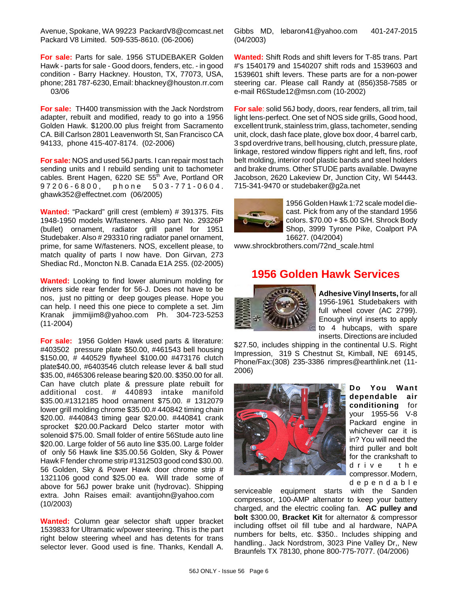Avenue, Spokane, WA 99223 PackardV8@comcast.net Packard V8 Limited. 509-535-8610. (06-2006)

**For sale:** Parts for sale. 1956 STUDEBAKER Golden Hawk - parts for sale - Good doors, fenders, etc. - in good condition - Barry Hackney. Houston, TX, 77073, USA, phone; 281 787-6230, Email: bhackney@houston.rr.com 03/06

**For sale:** TH400 transmission with the Jack Nordstrom adapter, rebuilt and modified, ready to go into a 1956 Golden Hawk. \$1200.00 plus freight from Sacramento CA. Bill Carlson 2801 Leavenworth St, San Francisco CA 94133, phone 415-407-8174. (02-2006)

**For sale:** NOS and used 56J parts. I can repair most tach sending units and I rebuild sending unit to tachometer cables. Brent Hagen, 6220 SE 55<sup>th</sup> Ave, Portland OR 97206-6800, phone 503-771-0604. ghawk352@effectnet.com (06/2005)

**Wanted:** "Packard" grill crest (emblem) # 391375. Fits 1948-1950 models W/fasteners. Also part No. 29326P (bullet) ornament, radiator grill panel for 1951 Studebaker. Also # 293310 ring radiator panel ornament, prime, for same W/fasteners. NOS, excellent please, to match quality of parts I now have. Don Girvan, 273 Shediac Rd., Moncton N.B. Canada E1A 2S5. (02-2005)

**Wanted:** Looking to find lower aluminum molding for drivers side rear fender for 56-J. Does not have to be nos, just no pitting or deep gouges please. Hope you can help. I need this one piece to complete a set. Jim Kranak jimmijim8@yahoo.com Ph. 304-723-5253 (11-2004)

**For sale:** 1956 Golden Hawk used parts & literature: #403502 pressure plate \$50.00, #461543 bell housing \$150.00, # 440529 flywheel \$100.00 #473176 clutch plate\$40.00, #6403546 clutch release lever & ball stud \$35.00, #465306 release bearing \$20.00. \$350.00 for all. Can have clutch plate & pressure plate rebuilt for additional cost. # 440893 intake manifold \$35.00.#1312185 hood ornament \$75.00. # 1312079 lower grill molding chrome \$35.00.# 440842 timing chain \$20.00. #440843 timing gear \$20.00. #440841 crank sprocket \$20.00.Packard Delco starter motor with solenoid \$75.00. Small folder of entire 56Stude auto line \$20.00. Large folder of 56 auto line \$35.00. Large folder of only 56 Hawk line \$35.00.56 Golden, Sky & Power Hawk F fender chrome strip #1312503 good cond \$30.00. 56 Golden, Sky & Power Hawk door chrome strip # 1321106 good cond \$25.00 ea. Will trade some of above for 56J power brake unit (hydrovac). Shipping extra. John Raises email: avantijohn@yahoo.com (10/2003)

**Wanted:** Column gear selector shaft upper bracket 1539833 for Ultramatic w/power steering. This is the part right below steering wheel and has detents for trans selector lever. Good used is fine. Thanks, Kendall A. Gibbs MD, lebaron41@yahoo.com 401-247-2015 (04/2003)

**Wanted:** Shift Rods and shift levers for T-85 trans. Part #'s 1540179 and 1540207 shift rods and 1539603 and 1539601 shift levers. These parts are for a non-power steering car. Please call Randy at (856)358-7585 or e-mail R6Stude12@msn.com (10-2002)

**For sale**: solid 56J body, doors, rear fenders, all trim, tail light lens-perfect. One set of NOS side grills, Good hood, excellent trunk, stainless trim, glass, tachometer, sending unit, clock, dash face plate, glove box door, 4 barrel carb, 3 spd overdrive trans, bell housing, clutch, pressure plate, linkage, restored window flippers right and left, fins, roof belt molding, interior roof plastic bands and steel holders and brake drums. Other STUDE parts available. Dwayne Jacobson, 2620 Lakeview Dr, Junction City, WI 54443. 715-341-9470 or studebaker@g2a.net



1956 Golden Hawk 1:72 scale model diecast. Pick from any of the standard 1956 colors. \$70.00 + \$5.00 S/H. Shrock Body Shop, 3999 Tyrone Pike, Coalport PA 16627. (04/2004)

www.shrockbrothers.com/72nd\_scale.html

## **1956 Golden Hawk Services**



**Adhesive Vinyl Inserts,** for all 1956-1961 Studebakers with full wheel cover (AC 2799). Enough vinyl inserts to apply to 4 hubcaps, with spare inserts. Directions are included

\$27.50, includes shipping in the continental U.S. Right Impression, 319 S Chestnut St, Kimball, NE 69145, Phone/Fax:(308) 235-3386 rimpres@earthlink.net (11- 2006)



**Do You Want dependable air conditioning** for your 1955-56 V-8 Packard engine in whichever car it is in? You will need the third puller and bolt for the crankshaft to drive the compressor. Modern, dependable

serviceable equipment starts with the Sanden compressor, 100-AMP alternator to keep your battery charged, and the electric cooling fan. **AC pulley and bolt** \$300.00, **Bracket Kit** for alternator & compressor including offset oil fill tube and al hardware, NAPA numbers for belts, etc. \$350.. Includes shipping and handling.. Jack Nordstrom, 3023 Pine Valley Dr,, New Braunfels TX 78130, phone 800-775-7077. (04/2006)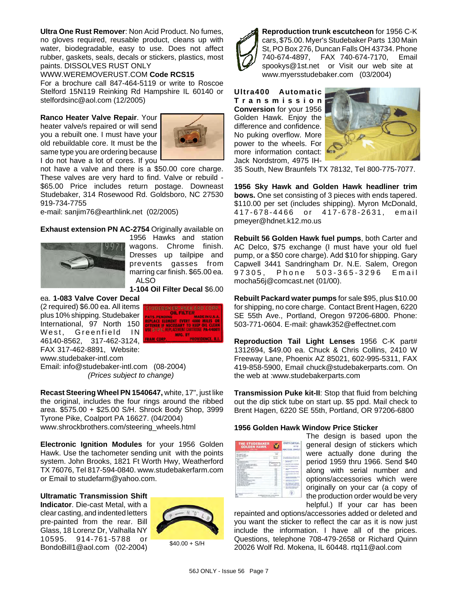**Ultra One Rust Remover**: Non Acid Product. No fumes, no gloves required, reusable product, cleans up with water, biodegradable, easy to use. Does not affect rubber, gaskets, seals, decals or stickers, plastics, most paints. DISSOLVES RUST ONLY

WWW.WEREMOVERUST.COM **Code RCS15** For a brochure call 847-464-5119 or write to Roscoe Stelford 15N119 Reinking Rd Hampshire IL 60140 or stelfordsinc@aol.com (12/2005)

**Ranco Heater Valve Repair**. Your heater valve/s repaired or will send you a rebuilt one. I must have your old rebuildable core. It must be the same type you are ordering because I do not have a lot of cores. If you



not have a valve and there is a \$50.00 core charge. These valves are very hard to find. Valve or rebuild - \$65.00 Price includes return postage. Downeast Studebaker, 314 Rosewood Rd. Goldsboro, NC 27530 919-734-7755

e-mail: sanjim76@earthlink.net (02/2005)

**Exhaust extension PN AC-2754** Originally available on



1956 Hawks and station wagons. Chrome finish. Dresses up tailpipe and prevents gasses from marring car finish. \$65.00 ea. ALSO

**1-104 Oil Filter Decal** \$6.00

ea. **1-083 Valve Cover Decal** (2 required) \$6.00 ea. All items plus 10% shipping. Studebaker International, 97 North 150 West, Greenfield IN 46140-8562, 317-462-3124, FAX 317-462-8891, Website: www.studebaker-intl.com



Email: info@studebaker-intl.com (08-2004) *(Prices subject to change)*

**Recast Steering Wheel PN 1540647,** white, 17", just like the original, includes the four rings around the ribbed area. \$575.00 + \$25.00 S/H. Shrock Body Shop, 3999 Tyrone Pike, Coalport PA 16627. (04/2004) www.shrockbrothers.com/steering\_wheels.html

**Electronic Ignition Modules** for your 1956 Golden Hawk. Use the tachometer sending unit with the points system. John Brooks, 1821 Ft Worth Hwy, Weatherford TX 76076, Tel 817-594-0840. www.studebakerfarm.com or Email to studefarm@yahoo.com.

**Ultramatic Transmission Shift Indicator**. Die-cast Metal, with a clear casting, and indented letters pre-painted from the rear. Bill Glass, 18 Lorenz Dr, Valhalla NY 10595. 914-761-5788 or BondoBill1@aol.com (02-2004)



 $$40.00 + S/H$ 



**Reproduction trunk escutcheon** for 1956 C-K cars, \$75.00. Myer's Studebaker Parts 130 Main St, PO Box 276, Duncan Falls OH 43734. Phone 740-674-4897, FAX 740-674-7170, Email spookys@1st.net or Visit our web site at www.myersstudebaker.com (03/2004)

**Ultra400 Automatic Transmission Conversion** for your 1956 Golden Hawk. Enjoy the difference and confidence. No puking overflow. More power to the wheels. For more information contact: Jack Nordstrom, 4975 IH-



35 South, New Braunfels TX 78132, Tel 800-775-7077.

**1956 Sky Hawk and Golden Hawk headliner trim bows.** One set consisting of 3 pieces with ends tapered. \$110.00 per set (includes shipping). Myron McDonald, 417-678-4466 or 417-678-2631, email pmeyer@hdnet.k12.mo.us

**Rebuilt 56 Golden Hawk fuel pumps**, both Carter and AC Delco, \$75 exchange (I must have your old fuel pump, or a \$50 core charge). Add \$10 for shipping. Gary Capwell 3441 Sandringham Dr. N.E. Salem, Oregon 97305. Phone 503-365-3296 Email mocha56j@comcast.net (01/00).

**Rebuilt Packard water pumps** for sale \$95, plus \$10.00 for shipping, no core charge. Contact Brent Hagen, 6220 SE 55th Ave., Portland, Oregon 97206-6800. Phone: 503-771-0604. E-mail: ghawk352@effectnet.com

**Reproduction Tail Light Lenses** 1956 C-K part# 1312694, \$49.00 ea. Chuck & Chris Collins, 2410 W Freeway Lane, Phoenix AZ 85021, 602-995-5311, FAX 419-858-5900, Email chuck@studebakerparts.com. On the web at :www.studebakerparts.com

**Transmission Puke kit-II**: Stop that fluid from belching out the dip stick tube on start up. \$5 ppd. Mail check to Brent Hagen, 6220 SE 55th, Portland, OR 97206-6800

### **1956 Golden Hawk Window Price Sticker**

| <b>THE STUDEBAKER</b><br><b>GOLDEN HAWK</b>                                                                                                                                                                                                                                                                                                                                                                                                                                                                                                                                                                              | <b>DOPTS CAP</b>                                                                                                                                                                                                                                                                 |
|--------------------------------------------------------------------------------------------------------------------------------------------------------------------------------------------------------------------------------------------------------------------------------------------------------------------------------------------------------------------------------------------------------------------------------------------------------------------------------------------------------------------------------------------------------------------------------------------------------------------------|----------------------------------------------------------------------------------------------------------------------------------------------------------------------------------------------------------------------------------------------------------------------------------|
| --<br><b>SERVICE SE</b><br><b>JEWELF WITTING AVE</b><br>the party of the party<br><b>MONEY CARDS</b><br>-<br>--<br>---<br><b>ATTAINMENT CAN ABOUT THE</b><br><b>CALLED</b><br>-<br>card at my LES to see<br>u<br>--<br>$\sim$<br><b>College</b><br>1199<br>. .<br><b>Sold Mine 4</b><br>The company star in<br><b>TAILED ENT</b><br><b>THE TANK SAFE</b><br>a car mill of collect<br><b>William Collision</b><br>and the later becomes.<br>an water chronical big in revision<br>at traditional and the first con-<br>L. P. Walder L. Wald<br>and the Company of the party of the<br>of help last and territory<br>79.74 | The American<br>of being<br>1. This present light is a major and<br>-<br><b>Brooklynd card Association of</b><br><b>Contract Contract</b><br><b>Blue Thatformed' day</b><br>and the forest of a state<br><b><i>Charles &amp; Industry on</i></b><br><b>CONTRACTOR CONTRACTOR</b> |
|                                                                                                                                                                                                                                                                                                                                                                                                                                                                                                                                                                                                                          |                                                                                                                                                                                                                                                                                  |

The design is based upon the general design of stickers which were actually done during the period 1959 thru 1966. Send \$40 along with serial number and options/accessories which were originally on your car (a copy of the production order would be very helpful.) If your car has been

repainted and options/accessories added or deleted and you want the sticker to reflect the car as it is now just include the information. I have all of the prices. Questions, telephone 708-479-2658 or Richard Quinn 20026 Wolf Rd. Mokena, IL 60448. rtq11@aol.com